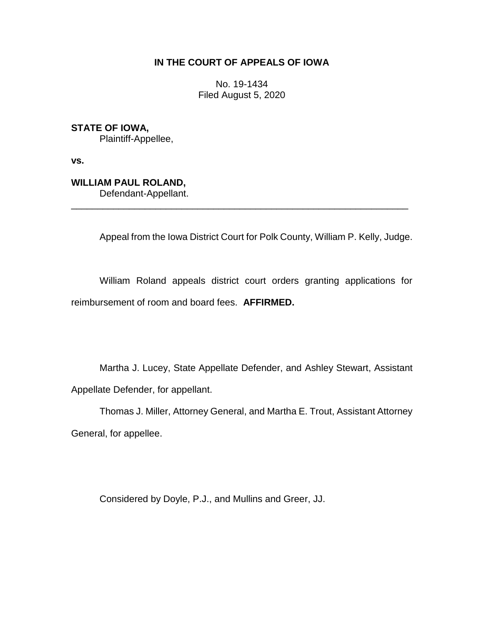## **IN THE COURT OF APPEALS OF IOWA**

No. 19-1434 Filed August 5, 2020

**STATE OF IOWA,** Plaintiff-Appellee,

**vs.**

**WILLIAM PAUL ROLAND,**

Defendant-Appellant. \_\_\_\_\_\_\_\_\_\_\_\_\_\_\_\_\_\_\_\_\_\_\_\_\_\_\_\_\_\_\_\_\_\_\_\_\_\_\_\_\_\_\_\_\_\_\_\_\_\_\_\_\_\_\_\_\_\_\_\_\_\_\_\_

Appeal from the Iowa District Court for Polk County, William P. Kelly, Judge.

William Roland appeals district court orders granting applications for reimbursement of room and board fees. **AFFIRMED.** 

Martha J. Lucey, State Appellate Defender, and Ashley Stewart, Assistant Appellate Defender, for appellant.

Thomas J. Miller, Attorney General, and Martha E. Trout, Assistant Attorney General, for appellee.

Considered by Doyle, P.J., and Mullins and Greer, JJ.